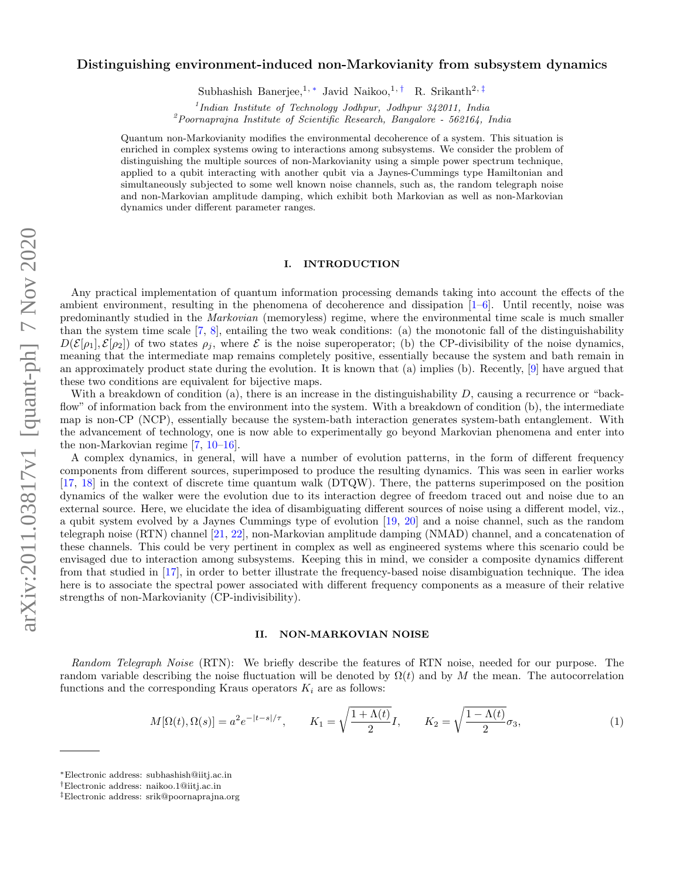# Distinguishing environment-induced non-Markovianity from subsystem dynamics

Subhashish Banerjee,<sup>1, ∗</sup> Javid Naikoo,<sup>1,†</sup> R. Srikanth<sup>2,‡</sup>

1 *Indian Institute of Technology Jodhpur, Jodhpur 342011, India*

<sup>2</sup>*Poornaprajna Institute of Scientific Research, Bangalore - 562164, India*

Quantum non-Markovianity modifies the environmental decoherence of a system. This situation is enriched in complex systems owing to interactions among subsystems. We consider the problem of distinguishing the multiple sources of non-Markovianity using a simple power spectrum technique, applied to a qubit interacting with another qubit via a Jaynes-Cummings type Hamiltonian and simultaneously subjected to some well known noise channels, such as, the random telegraph noise and non-Markovian amplitude damping, which exhibit both Markovian as well as non-Markovian dynamics under different parameter ranges.

### I. INTRODUCTION

Any practical implementation of quantum information processing demands taking into account the effects of the ambient environment, resulting in the phenomena of decoherence and dissipation  $[1-6]$ . Until recently, noise was predominantly studied in the Markovian (memoryless) regime, where the environmental time scale is much smaller than the system time scale [7, 8], entailing the two weak conditions: (a) the monotonic fall of the distinguishability  $D(\mathcal{E}[\rho_1], \mathcal{E}[\rho_2])$  of two states  $\rho_i$ , where  $\mathcal E$  is the noise superoperator; (b) the CP-divisibility of the noise dynamics, meaning that the intermediate map remains completely positive, essentially because the system and bath remain in an approximately product state during the evolution. It is known that (a) implies (b). Recently, [9] have argued that these two conditions are equivalent for bijective maps.

With a breakdown of condition (a), there is an increase in the distinguishability  $D$ , causing a recurrence or "backflow" of information back from the environment into the system. With a breakdown of condition (b), the intermediate map is non-CP (NCP), essentially because the system-bath interaction generates system-bath entanglement. With the advancement of technology, one is now able to experimentally go beyond Markovian phenomena and enter into the non-Markovian regime [7, 10–16].

A complex dynamics, in general, will have a number of evolution patterns, in the form of different frequency components from different sources, superimposed to produce the resulting dynamics. This was seen in earlier works [17, 18] in the context of discrete time quantum walk (DTQW). There, the patterns superimposed on the position dynamics of the walker were the evolution due to its interaction degree of freedom traced out and noise due to an external source. Here, we elucidate the idea of disambiguating different sources of noise using a different model, viz., a qubit system evolved by a Jaynes Cummings type of evolution [19, 20] and a noise channel, such as the random telegraph noise (RTN) channel [21, 22], non-Markovian amplitude damping (NMAD) channel, and a concatenation of these channels. This could be very pertinent in complex as well as engineered systems where this scenario could be envisaged due to interaction among subsystems. Keeping this in mind, we consider a composite dynamics different from that studied in [17], in order to better illustrate the frequency-based noise disambiguation technique. The idea here is to associate the spectral power associated with different frequency components as a measure of their relative strengths of non-Markovianity (CP-indivisibility).

# II. NON-MARKOVIAN NOISE

Random Telegraph Noise (RTN): We briefly describe the features of RTN noise, needed for our purpose. The random variable describing the noise fluctuation will be denoted by  $\Omega(t)$  and by M the mean. The autocorrelation functions and the corresponding Kraus operators  $K_i$  are as follows:

$$
M[\Omega(t),\Omega(s)] = a^2 e^{-|t-s|/\tau}, \qquad K_1 = \sqrt{\frac{1+\Lambda(t)}{2}}I, \qquad K_2 = \sqrt{\frac{1-\Lambda(t)}{2}}\sigma_3,
$$
\n
$$
(1)
$$

<sup>∗</sup>Electronic address: subhashish@iitj.ac.in

<sup>†</sup>Electronic address: naikoo.1@iitj.ac.in

<sup>‡</sup>Electronic address: srik@poornaprajna.org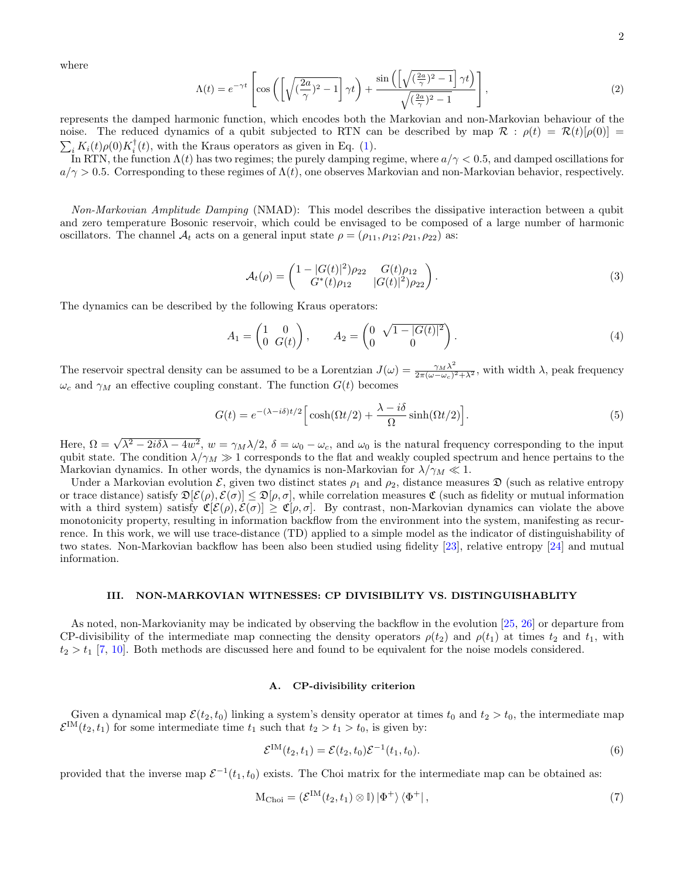where

$$
\Lambda(t) = e^{-\gamma t} \left[ \cos \left( \left[ \sqrt{\left(\frac{2a}{\gamma}\right)^2 - 1} \right] \gamma t \right) + \frac{\sin \left( \left[ \sqrt{\left(\frac{2a}{\gamma}\right)^2 - 1} \right] \gamma t \right)}{\sqrt{\left(\frac{2a}{\gamma}\right)^2 - 1}} \right],\tag{2}
$$

represents the damped harmonic function, which encodes both the Markovian and non-Markovian behaviour of the noise. The reduced dynamics of a qubit subjected to RTN can be described by map  $\mathcal{R} : \rho(t) = \mathcal{R}(t)[\rho(0)] =$  $\sum_i K_i(t) \rho(0) K_i^{\dagger}(t)$ , with the Kraus operators as given in Eq. (1).

In RTN, the function  $\Lambda(t)$  has two regimes; the purely damping regime, where  $a/\gamma < 0.5$ , and damped oscillations for  $a/\gamma > 0.5$ . Corresponding to these regimes of  $\Lambda(t)$ , one observes Markovian and non-Markovian behavior, respectively.

Non-Markovian Amplitude Damping (NMAD): This model describes the dissipative interaction between a qubit and zero temperature Bosonic reservoir, which could be envisaged to be composed of a large number of harmonic oscillators. The channel  $A_t$  acts on a general input state  $\rho = (\rho_{11}, \rho_{12}; \rho_{21}, \rho_{22})$  as:

$$
\mathcal{A}_t(\rho) = \begin{pmatrix} 1 - |G(t)|^2 \rho_{22} & G(t)\rho_{12} \\ G^*(t)\rho_{12} & |G(t)|^2 \rho_{22} \end{pmatrix} . \tag{3}
$$

The dynamics can be described by the following Kraus operators:

$$
A_1 = \begin{pmatrix} 1 & 0 \\ 0 & G(t) \end{pmatrix}, \qquad A_2 = \begin{pmatrix} 0 & \sqrt{1 - |G(t)|^2} \\ 0 & 0 \end{pmatrix}.
$$
 (4)

The reservoir spectral density can be assumed to be a Lorentzian  $J(\omega) = \frac{\gamma_M \lambda^2}{2\pi (\omega - \omega)^2}$  $\frac{\gamma_M \lambda}{2\pi(\omega - \omega_c)^2 + \lambda^2}$ , with width  $\lambda$ , peak frequency  $\omega_c$  and  $\gamma_M$  an effective coupling constant. The function  $G(t)$  becomes

$$
G(t) = e^{-(\lambda - i\delta)t/2} \left[ \cosh(\Omega t/2) + \frac{\lambda - i\delta}{\Omega} \sinh(\Omega t/2) \right].
$$
 (5)

Here,  $\Omega = \sqrt{\lambda^2 - 2i\delta\lambda - 4w^2}$ ,  $w = \gamma_M\lambda/2$ ,  $\delta = \omega_0 - \omega_c$ , and  $\omega_0$  is the natural frequency corresponding to the input qubit state. The condition  $\lambda/\gamma_M \gg 1$  corresponds to the flat and weakly coupled spectrum and hence pertains to the Markovian dynamics. In other words, the dynamics is non-Markovian for  $\lambda/\gamma_M \ll 1$ .

Under a Markovian evolution  $\mathcal{E}$ , given two distinct states  $\rho_1$  and  $\rho_2$ , distance measures  $\mathfrak{D}$  (such as relative entropy or trace distance) satisfy  $\mathfrak{D}[\mathcal{E}(\rho), \mathcal{E}(\sigma)] \leq \mathfrak{D}[\rho, \sigma]$ , while correlation measures  $\mathfrak{C}$  (such as fidelity or mutual information with a third system) satisfy  $\mathfrak{C}[\mathcal{E}(\rho), \mathcal{E}(\sigma)] \geq \mathfrak{C}[\rho, \sigma]$ . By contrast, non-Markovian dynamics can violate the above monotonicity property, resulting in information backflow from the environment into the system, manifesting as recurrence. In this work, we will use trace-distance (TD) applied to a simple model as the indicator of distinguishability of two states. Non-Markovian backflow has been also been studied using fidelity [23], relative entropy [24] and mutual information.

## III. NON-MARKOVIAN WITNESSES: CP DIVISIBILITY VS. DISTINGUISHABLITY

As noted, non-Markovianity may be indicated by observing the backflow in the evolution [25, 26] or departure from CP-divisibility of the intermediate map connecting the density operators  $\rho(t_2)$  and  $\rho(t_1)$  at times  $t_2$  and  $t_1$ , with  $t_2 > t_1$  [7, 10]. Both methods are discussed here and found to be equivalent for the noise models considered.

# A. CP-divisibility criterion

Given a dynamical map  $\mathcal{E}(t_2, t_0)$  linking a system's density operator at times  $t_0$  and  $t_2 > t_0$ , the intermediate map  $\mathcal{E}^{\text{IM}}(t_2, t_1)$  for some intermediate time  $t_1$  such that  $t_2 > t_1 > t_0$ , is given by:

$$
\mathcal{E}^{\text{IM}}(t_2, t_1) = \mathcal{E}(t_2, t_0) \mathcal{E}^{-1}(t_1, t_0).
$$
\n(6)

provided that the inverse map  $\mathcal{E}^{-1}(t_1, t_0)$  exists. The Choi matrix for the intermediate map can be obtained as:

$$
M_{\text{Choi}} = \left(\mathcal{E}^{\text{IM}}(t_2, t_1) \otimes \mathbb{I}\right) |\Phi^+\rangle \langle \Phi^+| \,, \tag{7}
$$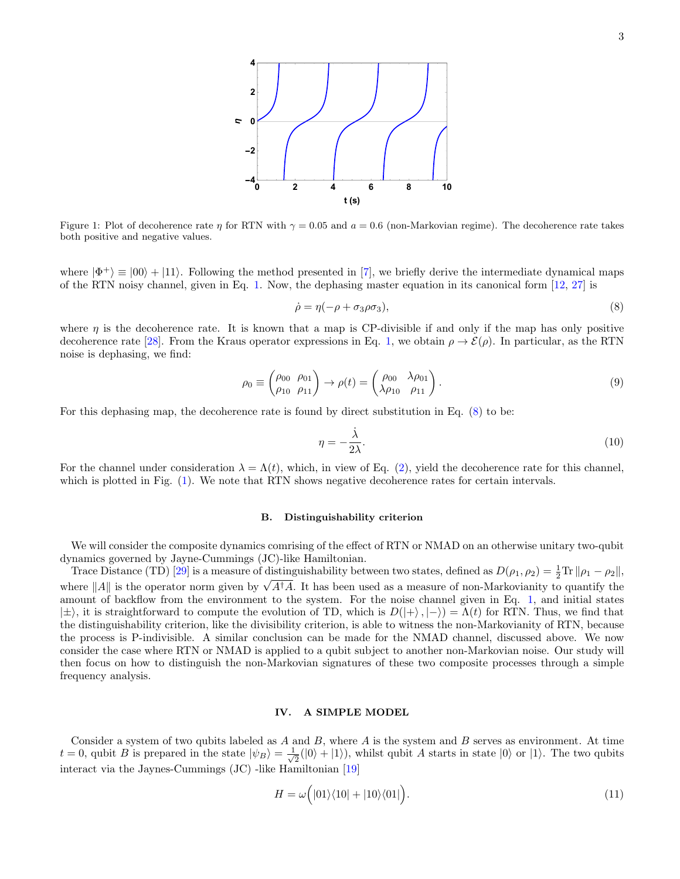Figure 1: Plot of decoherence rate  $\eta$  for RTN with  $\gamma = 0.05$  and  $a = 0.6$  (non-Markovian regime). The decoherence rate takes both positive and negative values.

where  $|\Phi^+\rangle \equiv |00\rangle + |11\rangle$ . Following the method presented in [7], we briefly derive the intermediate dynamical maps of the RTN noisy channel, given in Eq. 1. Now, the dephasing master equation in its canonical form [12, 27] is

$$
\dot{\rho} = \eta(-\rho + \sigma_3 \rho \sigma_3),\tag{8}
$$

where  $\eta$  is the decoherence rate. It is known that a map is CP-divisible if and only if the map has only positive decoherence rate [28]. From the Kraus operator expressions in Eq. 1, we obtain  $\rho \to \mathcal{E}(\rho)$ . In particular, as the RTN noise is dephasing, we find:

$$
\rho_0 \equiv \begin{pmatrix} \rho_{00} & \rho_{01} \\ \rho_{10} & \rho_{11} \end{pmatrix} \rightarrow \rho(t) = \begin{pmatrix} \rho_{00} & \lambda \rho_{01} \\ \lambda \rho_{10} & \rho_{11} \end{pmatrix}.
$$
\n(9)

For this dephasing map, the decoherence rate is found by direct substitution in Eq. (8) to be:

$$
\eta = -\frac{\dot{\lambda}}{2\lambda}.\tag{10}
$$

For the channel under consideration  $\lambda = \Lambda(t)$ , which, in view of Eq. (2), yield the decoherence rate for this channel, which is plotted in Fig.  $(1)$ . We note that RTN shows negative decoherence rates for certain intervals.

#### B. Distinguishability criterion

We will consider the composite dynamics comrising of the effect of RTN or NMAD on an otherwise unitary two-qubit dynamics governed by Jayne-Cummings (JC)-like Hamiltonian.

Trace Distance (TD) [29] is a measure of distinguishability between two states, defined as  $D(\rho_1, \rho_2) = \frac{1}{2} \text{Tr} ||\rho_1 - \rho_2||$ , where  $||A||$  is the operator norm given by  $\sqrt{A^{\dagger}A}$ . It has been used as a measure of non-Markovianity to quantify the amount of backflow from the environment to the system. For the noise channel given in Eq. 1, and initial states  $|\pm\rangle$ , it is straightforward to compute the evolution of TD, which is  $D(|+\rangle, |-\rangle) = \Lambda(t)$  for RTN. Thus, we find that the distinguishability criterion, like the divisibility criterion, is able to witness the non-Markovianity of RTN, because the process is P-indivisible. A similar conclusion can be made for the NMAD channel, discussed above. We now consider the case where RTN or NMAD is applied to a qubit subject to another non-Markovian noise. Our study will then focus on how to distinguish the non-Markovian signatures of these two composite processes through a simple frequency analysis.

### IV. A SIMPLE MODEL

Consider a system of two qubits labeled as A and B, where A is the system and B serves as environment. At time  $t = 0$ , qubit B is prepared in the state  $|\psi_B\rangle = \frac{1}{\sqrt{2}}$  $\frac{1}{2}(|0\rangle + |1\rangle)$ , whilst qubit A starts in state  $|0\rangle$  or  $|1\rangle$ . The two qubits interact via the Jaynes-Cummings (JC) -like Hamiltonian [19]

$$
H = \omega\Big(|01\rangle\langle10| + |10\rangle\langle01|\Big). \tag{11}
$$

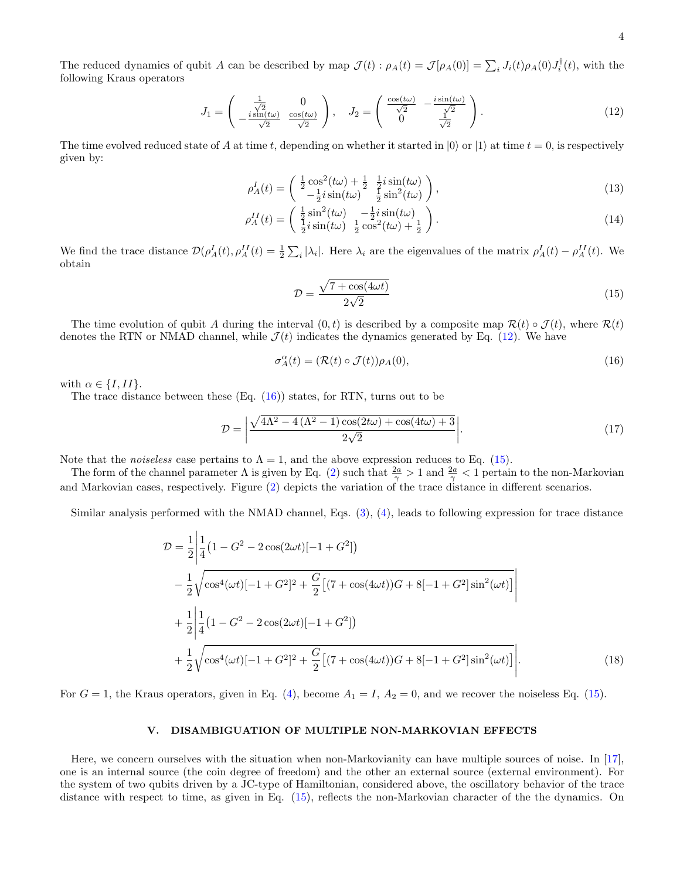The reduced dynamics of qubit A can be described by map  $\mathcal{J}(t)$ :  $\rho_A(t) = \mathcal{J}[\rho_A(0)] = \sum_i J_i(t) \rho_A(0) J_i^{\dagger}(t)$ , with the following Kraus operators

$$
J_1 = \begin{pmatrix} \frac{1}{\sqrt{2}} & 0\\ -\frac{i\sin(t\omega)}{\sqrt{2}} & \frac{\cos(t\omega)}{\sqrt{2}} \end{pmatrix}, \quad J_2 = \begin{pmatrix} \frac{\cos(t\omega)}{\sqrt{2}} & -\frac{i\sin(t\omega)}{\sqrt{2}}\\ 0 & \frac{1}{\sqrt{2}} \end{pmatrix}.
$$
 (12)

The time evolved reduced state of A at time t, depending on whether it started in  $|0\rangle$  or  $|1\rangle$  at time  $t = 0$ , is respectively given by:

$$
\rho_A^I(t) = \begin{pmatrix} \frac{1}{2}\cos^2(t\omega) + \frac{1}{2} & \frac{1}{2}i\sin(t\omega) \\ -\frac{1}{2}i\sin(t\omega) & \frac{1}{2}\sin^2(t\omega) \end{pmatrix},
$$
\n(13)

$$
\rho_A^{II}(t) = \begin{pmatrix} \frac{1}{2}\sin^2(t\omega) & -\frac{1}{2}i\sin(t\omega) \\ \frac{1}{2}i\sin(t\omega) & \frac{1}{2}\cos^2(t\omega) + \frac{1}{2} \end{pmatrix}.
$$
\n(14)

We find the trace distance  $\mathcal{D}(\rho_A^I(t), \rho_A^{II}(t)) = \frac{1}{2} \sum_i |\lambda_i|$ . Here  $\lambda_i$  are the eigenvalues of the matrix  $\rho_A^I(t) - \rho_A^{II}(t)$ . We obtain

$$
\mathcal{D} = \frac{\sqrt{7 + \cos(4\omega t)}}{2\sqrt{2}}\tag{15}
$$

The time evolution of qubit A during the interval  $(0, t)$  is described by a composite map  $\mathcal{R}(t) \circ \mathcal{J}(t)$ , where  $\mathcal{R}(t)$ denotes the RTN or NMAD channel, while  $\mathcal{J}(t)$  indicates the dynamics generated by Eq. (12). We have

$$
\sigma_A^{\alpha}(t) = (\mathcal{R}(t) \circ \mathcal{J}(t)) \rho_A(0), \tag{16}
$$

with  $\alpha \in \{I, II\}$ .

The trace distance between these  $(Eq. (16))$  states, for RTN, turns out to be

$$
\mathcal{D} = \left| \frac{\sqrt{4\Lambda^2 - 4\left(\Lambda^2 - 1\right)\cos(2t\omega) + \cos(4t\omega) + 3}}{2\sqrt{2}} \right|.
$$
\n(17)

Note that the *noiseless* case pertains to  $\Lambda = 1$ , and the above expression reduces to Eq. (15).

The form of the channel parameter  $\Lambda$  is given by Eq. (2) such that  $\frac{2a}{\gamma} > 1$  and  $\frac{2a}{\gamma} < 1$  pertain to the non-Markovian and Markovian cases, respectively. Figure (2) depicts the variation of the trace distance in different scenarios.

Similar analysis performed with the NMAD channel, Eqs. (3), (4), leads to following expression for trace distance

$$
\mathcal{D} = \frac{1}{2} \left| \frac{1}{4} \left( 1 - G^2 - 2 \cos(2\omega t) [-1 + G^2] \right) \right|
$$
  
\n
$$
- \frac{1}{2} \sqrt{\cos^4(\omega t) [-1 + G^2]^2 + \frac{G}{2} \left[ (7 + \cos(4\omega t))G + 8[-1 + G^2] \sin^2(\omega t) \right]}
$$
  
\n
$$
+ \frac{1}{2} \left| \frac{1}{4} \left( 1 - G^2 - 2 \cos(2\omega t) [-1 + G^2] \right) \right|
$$
  
\n
$$
+ \frac{1}{2} \sqrt{\cos^4(\omega t) [-1 + G^2]^2 + \frac{G}{2} \left[ (7 + \cos(4\omega t))G + 8[-1 + G^2] \sin^2(\omega t) \right]} \right|.
$$
  
\n(18)

For  $G = 1$ , the Kraus operators, given in Eq. (4), become  $A_1 = I$ ,  $A_2 = 0$ , and we recover the noiseless Eq. (15).

## V. DISAMBIGUATION OF MULTIPLE NON-MARKOVIAN EFFECTS

Here, we concern ourselves with the situation when non-Markovianity can have multiple sources of noise. In [17], one is an internal source (the coin degree of freedom) and the other an external source (external environment). For the system of two qubits driven by a JC-type of Hamiltonian, considered above, the oscillatory behavior of the trace distance with respect to time, as given in Eq. (15), reflects the non-Markovian character of the the dynamics. On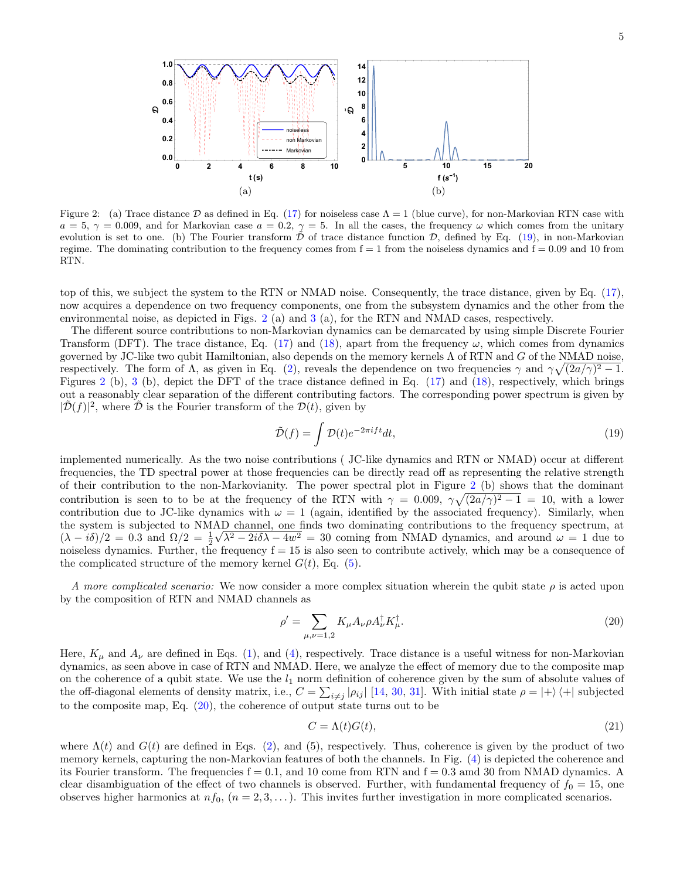

Figure 2: (a) Trace distance D as defined in Eq. (17) for noiseless case  $\Lambda = 1$  (blue curve), for non-Markovian RTN case with  $a = 5, \gamma = 0.009$ , and for Markovian case  $a = 0.2, \gamma = 5$ . In all the cases, the frequency  $\omega$  which comes from the unitary evolution is set to one. (b) The Fourier transform  $\tilde{\mathcal{D}}$  of trace distance function  $\mathcal{D}$ , defined by Eq. (19), in non-Markovian regime. The dominating contribution to the frequency comes from  $f = 1$  from the noiseless dynamics and  $f = 0.09$  and 10 from RTN.

top of this, we subject the system to the RTN or NMAD noise. Consequently, the trace distance, given by Eq. (17), now acquires a dependence on two frequency components, one from the subsystem dynamics and the other from the environmental noise, as depicted in Figs. 2 (a) and 3 (a), for the RTN and NMAD cases, respectively.

The different source contributions to non-Markovian dynamics can be demarcated by using simple Discrete Fourier Transform (DFT). The trace distance, Eq. (17) and (18), apart from the frequency  $\omega$ , which comes from dynamics governed by JC-like two qubit Hamiltonian, also depends on the memory kernels Λ of RTN and G of the NMAD noise, respectively. The form of  $\Lambda$ , as given in Eq. (2), reveals the dependence on two frequencies  $\gamma$  and  $\gamma \sqrt{(2a/\gamma)^2 - 1}$ . Figures 2 (b), 3 (b), depict the DFT of the trace distance defined in Eq. (17) and (18), respectively, which brings out a reasonably clear separation of the different contributing factors. The corresponding power spectrum is given by  $|\tilde{\mathcal{D}}(f)|^2$ , where  $\tilde{\mathcal{D}}$  is the Fourier transform of the  $\mathcal{D}(t)$ , given by

$$
\tilde{\mathcal{D}}(f) = \int \mathcal{D}(t)e^{-2\pi i f t}dt,\tag{19}
$$

implemented numerically. As the two noise contributions ( JC-like dynamics and RTN or NMAD) occur at different frequencies, the TD spectral power at those frequencies can be directly read off as representing the relative strength of their contribution to the non-Markovianity. The power spectral plot in Figure 2 (b) shows that the dominant contribution is seen to to be at the frequency of the RTN with  $\gamma = 0.009$ ,  $\gamma \sqrt{(2a/\gamma)^2 - 1} = 10$ , with a lower contribution due to JC-like dynamics with  $\omega = 1$  (again, identified by the associated frequency). Similarly, when the system is subjected to NMAD channel, one finds two dominating contributions to the frequency spectrum, at  $(\lambda - i\delta)/2 = 0.3$  and  $\Omega/2 = \frac{1}{2}\sqrt{\lambda^2 - 2i\delta\lambda - 4w^2} = 30$  coming from NMAD dynamics, and around  $\omega = 1$  due to noiseless dynamics. Further, the frequency  $f = 15$  is also seen to contribute actively, which may be a consequence of the complicated structure of the memory kernel  $G(t)$ , Eq. (5).

A more complicated scenario: We now consider a more complex situation wherein the qubit state  $\rho$  is acted upon by the composition of RTN and NMAD channels as

$$
\rho' = \sum_{\mu,\nu=1,2} K_{\mu} A_{\nu} \rho A_{\nu}^{\dagger} K_{\mu}^{\dagger}.
$$
\n(20)

Here,  $K_{\mu}$  and  $A_{\nu}$  are defined in Eqs. (1), and (4), respectively. Trace distance is a useful witness for non-Markovian dynamics, as seen above in case of RTN and NMAD. Here, we analyze the effect of memory due to the composite map on the coherence of a qubit state. We use the  $l_1$  norm definition of coherence given by the sum of absolute values of the off-diagonal elements of density matrix, i.e.,  $C = \sum_{i \neq j} |\rho_{ij}| [14, 30, 31]$ . With initial state  $\rho = |+\rangle \langle +|$  subjected to the composite map, Eq. (20), the coherence of output state turns out to be

$$
C = \Lambda(t)G(t),\tag{21}
$$

where  $\Lambda(t)$  and  $G(t)$  are defined in Eqs. (2), and (5), respectively. Thus, coherence is given by the product of two memory kernels, capturing the non-Markovian features of both the channels. In Fig. (4) is depicted the coherence and its Fourier transform. The frequencies  $f = 0.1$ , and 10 come from RTN and  $f = 0.3$  amd 30 from NMAD dynamics. A clear disambiguation of the effect of two channels is observed. Further, with fundamental frequency of  $f_0 = 15$ , one observes higher harmonics at  $nf_0$ ,  $(n = 2, 3, ...)$ . This invites further investigation in more complicated scenarios.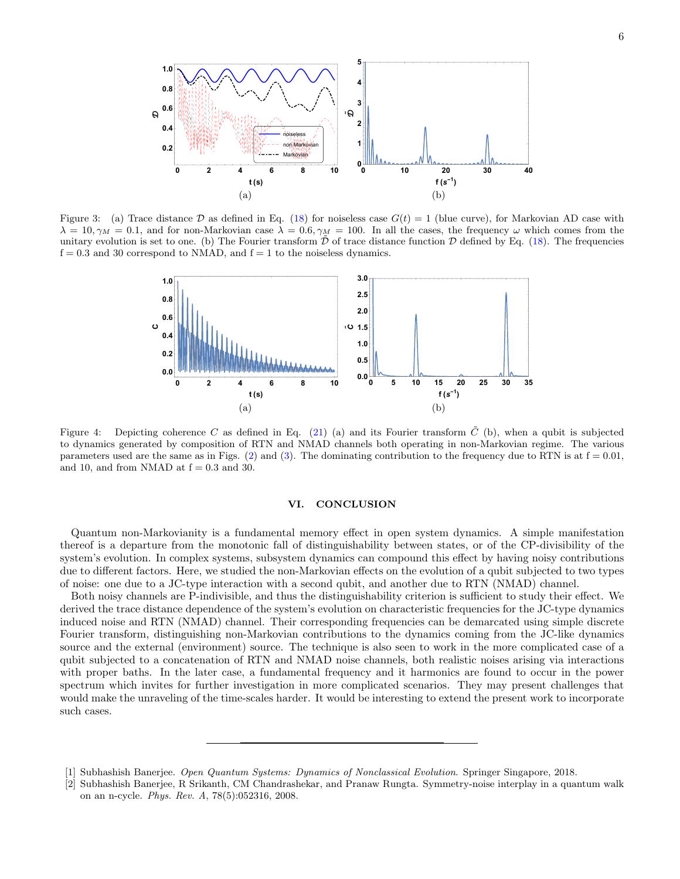

Figure 3: (a) Trace distance D as defined in Eq. (18) for noiseless case  $G(t) = 1$  (blue curve), for Markovian AD case with  $\lambda = 10, \gamma_M = 0.1$ , and for non-Markovian case  $\lambda = 0.6, \gamma_M = 100$ . In all the cases, the frequency  $\omega$  which comes from the unitary evolution is set to one. (b) The Fourier transform  $\mathcal D$  of trace distance function  $\mathcal D$  defined by Eq. (18). The frequencies  $f = 0.3$  and 30 correspond to NMAD, and  $f = 1$  to the noiseless dynamics.



Figure 4: Depicting coherence C as defined in Eq. (21) (a) and its Fourier transform  $\tilde{C}$  (b), when a qubit is subjected to dynamics generated by composition of RTN and NMAD channels both operating in non-Markovian regime. The various parameters used are the same as in Figs. (2) and (3). The dominating contribution to the frequency due to RTN is at  $f = 0.01$ , and 10, and from NMAD at  $f = 0.3$  and 30.

### VI. CONCLUSION

Quantum non-Markovianity is a fundamental memory effect in open system dynamics. A simple manifestation thereof is a departure from the monotonic fall of distinguishability between states, or of the CP-divisibility of the system's evolution. In complex systems, subsystem dynamics can compound this effect by having noisy contributions due to different factors. Here, we studied the non-Markovian effects on the evolution of a qubit subjected to two types of noise: one due to a JC-type interaction with a second qubit, and another due to RTN (NMAD) channel.

Both noisy channels are P-indivisible, and thus the distinguishability criterion is sufficient to study their effect. We derived the trace distance dependence of the system's evolution on characteristic frequencies for the JC-type dynamics induced noise and RTN (NMAD) channel. Their corresponding frequencies can be demarcated using simple discrete Fourier transform, distinguishing non-Markovian contributions to the dynamics coming from the JC-like dynamics source and the external (environment) source. The technique is also seen to work in the more complicated case of a qubit subjected to a concatenation of RTN and NMAD noise channels, both realistic noises arising via interactions with proper baths. In the later case, a fundamental frequency and it harmonics are found to occur in the power spectrum which invites for further investigation in more complicated scenarios. They may present challenges that would make the unraveling of the time-scales harder. It would be interesting to extend the present work to incorporate such cases.

<sup>[1]</sup> Subhashish Banerjee. *Open Quantum Systems: Dynamics of Nonclassical Evolution*. Springer Singapore, 2018.

<sup>[2]</sup> Subhashish Banerjee, R Srikanth, CM Chandrashekar, and Pranaw Rungta. Symmetry-noise interplay in a quantum walk on an n-cycle. *Phys. Rev. A*, 78(5):052316, 2008.